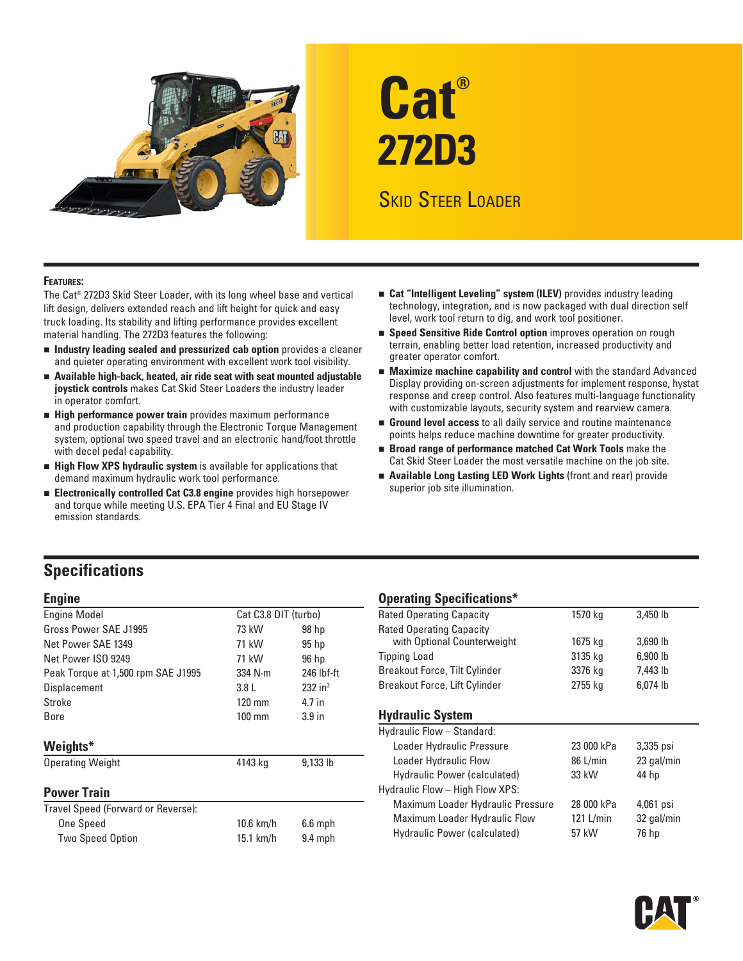

# **Cat® 272D3**

# Skid Steer Loader

#### **Features:**

The Cat® 272D3 Skid Steer Loader, with its long wheel base and vertical lift design, delivers extended reach and lift height for quick and easy truck loading. Its stability and lifting performance provides excellent material handling. The 272D3 features the following:

- n **Industry leading sealed and pressurized cab option** provides a cleaner and quieter operating environment with excellent work tool visibility.
- **n** Available high-back, heated, air ride seat with seat mounted adjustable **joystick controls** makes Cat Skid Steer Loaders the industry leader in operator comfort.
- **External Performance power train** provides maximum performance and production capability through the Electronic Torque Management system, optional two speed travel and an electronic hand/foot throttle with decel pedal capability.
- **Exter High Flow XPS hydraulic system** is available for applications that demand maximum hydraulic work tool performance.
- n **Electronically controlled Cat C3.8 engine** provides high horsepower and torque while meeting U.S. EPA Tier 4 Final and EU Stage IV emission standards.
- **Example 2 Cat "Intelligent Leveling" system (ILEV)** provides industry leading technology, integration, and is now packaged with dual direction self level, work tool return to dig, and work tool positioner.
- **Example 3 Speed Sensitive Ride Control option** improves operation on rough terrain, enabling better load retention, increased productivity and greater operator comfort.
- **Maximize machine capability and control** with the standard Advanced Display providing on-screen adjustments for implement response, hystat response and creep control. Also features multi-language functionality with customizable layouts, security system and rearview camera.
- **Ground level access** to all daily service and routine maintenance points helps reduce machine downtime for greater productivity.
- n **Broad range of performance matched Cat Work Tools** make the Cat Skid Steer Loader the most versatile machine on the job site.
- **E** Available Long Lasting LED Work Lights (front and rear) provide superior job site illumination.

## **Specifications**

| <b>Engine Model</b>                     | Cat C3.8 DIT (turbo) |                                 | <b>Rated Operating Capacity</b>   | 1570 kg            | 3,450 lb             |
|-----------------------------------------|----------------------|---------------------------------|-----------------------------------|--------------------|----------------------|
| Gross Power SAE J1995<br>73 kW<br>98 hp |                      | <b>Rated Operating Capacity</b> |                                   |                    |                      |
| Net Power SAE 1349                      | 71 kW                | $95$ hp                         | with Optional Counterweight       | 1675 kg<br>3135 kg | 3,690 lb<br>6,900 lb |
| Net Power ISO 9249                      | 71 kW                | 96 hp                           | <b>Tipping Load</b>               |                    |                      |
| Peak Torque at 1,500 rpm SAE J1995      | $334$ N $\cdot$ m    | 246 lbf-ft                      | Breakout Force, Tilt Cylinder     | 3376 kg            | 7,443 lb             |
| Displacement                            | 3.8 <sub>L</sub>     | $232$ in <sup>3</sup>           | Breakout Force, Lift Cylinder     | 2755 kg            | 6,074 lb             |
| Stroke                                  | $120 \text{ mm}$     | 4.7 in                          |                                   |                    |                      |
| <b>Bore</b>                             | $100$ mm             | 3.9 <sub>in</sub>               | <b>Hydraulic System</b>           |                    |                      |
|                                         |                      |                                 | Hydraulic Flow - Standard:        |                    |                      |
| Weights*                                |                      |                                 | Loader Hydraulic Pressure         | 23 000 kPa         | 3,335 psi            |
| <b>Operating Weight</b>                 | 4143 kg              | 9,133 lb                        | Loader Hydraulic Flow             | 86 L/min           | 23 gal/min           |
|                                         |                      |                                 | Hydraulic Power (calculated)      | 33 kW              | 44 hp                |
| <b>Power Train</b>                      |                      |                                 | Hydraulic Flow - High Flow XPS:   |                    |                      |
| Travel Speed (Forward or Reverse):      |                      |                                 | Maximum Loader Hydraulic Pressure | 28 000 kPa         | 4,061 psi            |
| One Speed                               | $10.6$ km/h          | $6.6$ mph                       | Maximum Loader Hydraulic Flow     | 121 L/ $min$       | 32 gal/min           |
| <b>Two Speed Option</b>                 | 15.1 km/h            | $9.4$ mph                       | Hydraulic Power (calculated)      | 57 kW              | 76 hp                |

#### **Engine Constructions Constructions Constructions Constructions Constructions Constructions Act of the Constructions Act of the Constructions Act of the Constructions Act of the Constructions Act of the Constructions Act o**

| -p-------a -p------------            |         |          |  |
|--------------------------------------|---------|----------|--|
| <b>Rated Operating Capacity</b>      | 1570 kg | 3,450 lb |  |
| <b>Rated Operating Capacity</b>      |         |          |  |
| with Optional Counterweight          | 1675 kg | 3,690 lb |  |
| <b>Tipping Load</b>                  | 3135 kg | 6,900 lb |  |
| <b>Breakout Force, Tilt Cylinder</b> | 3376 kg | 7.443 lb |  |
| Breakout Force, Lift Cylinder        | 2755 kg | 6,074 lb |  |
|                                      |         |          |  |

#### **Hydraulic System**

| Hydraulic Flow - Standard:        |             |            |  |  |  |  |
|-----------------------------------|-------------|------------|--|--|--|--|
| Loader Hydraulic Pressure         | 23 000 kPa  | 3,335 psi  |  |  |  |  |
| Loader Hydraulic Flow             | 86 L/min    | 23 gal/min |  |  |  |  |
| Hydraulic Power (calculated)      | 33 kW       | 44 hp      |  |  |  |  |
| Hydraulic Flow - High Flow XPS:   |             |            |  |  |  |  |
| Maximum Loader Hydraulic Pressure | 28 000 kPa  | 4,061 psi  |  |  |  |  |
| Maximum Loader Hydraulic Flow     | $121$ L/min | 32 gal/min |  |  |  |  |
| Hydraulic Power (calculated)      | 57 kW       | 76 hp      |  |  |  |  |
|                                   |             |            |  |  |  |  |

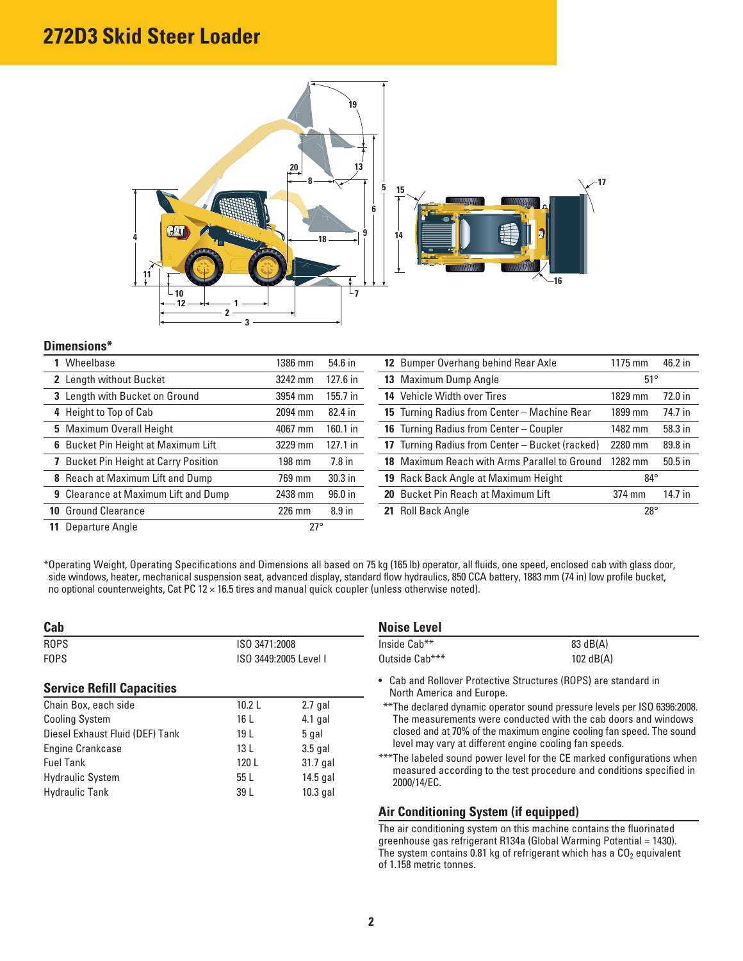# **272D3 Skid Steer Loader**



## **Dimensions\***

| 1386 mm | 54.6 in           | 12 Bumper Overhang behind Rear Axle |  | 1175 mm                                                                                                                                                                                                                                                                                                        | 46.2 in   |
|---------|-------------------|-------------------------------------|--|----------------------------------------------------------------------------------------------------------------------------------------------------------------------------------------------------------------------------------------------------------------------------------------------------------------|-----------|
| 3242 mm | 127.6 in          | 13 Maximum Dump Angle               |  | $51^{\circ}$                                                                                                                                                                                                                                                                                                   |           |
| 3954 mm | $155.7$ in        | 14 Vehicle Width over Tires         |  | 1829 mm                                                                                                                                                                                                                                                                                                        | 72.0 in   |
| 2094 mm | 82.4 in           |                                     |  | 1899 mm                                                                                                                                                                                                                                                                                                        | 74.7 in   |
| 4067 mm | $160.1$ in        |                                     |  | 1482 mm                                                                                                                                                                                                                                                                                                        | 58.3 in   |
| 3229 mm | $127.1$ in        |                                     |  | 2280 mm                                                                                                                                                                                                                                                                                                        | 89.8 in   |
| 198 mm  | $7.8$ in          |                                     |  | 1282 mm                                                                                                                                                                                                                                                                                                        | $50.5$ in |
| 769 mm  | $30.3$ in         |                                     |  | $84^{\circ}$                                                                                                                                                                                                                                                                                                   |           |
| 2438 mm | 96.0 in           |                                     |  | 374 mm                                                                                                                                                                                                                                                                                                         | 14.7 in   |
| 226 mm  | 8.9 <sub>in</sub> |                                     |  | $28^{\circ}$                                                                                                                                                                                                                                                                                                   |           |
|         |                   |                                     |  |                                                                                                                                                                                                                                                                                                                |           |
|         |                   | $27^\circ$                          |  | 15 Turning Radius from Center - Machine Rear<br><b>16</b> Turning Radius from Center – Coupler<br>17 Turning Radius from Center - Bucket (racked)<br>18 Maximum Reach with Arms Parallel to Ground<br><b>19</b> Rack Back Angle at Maximum Height<br>20 Bucket Pin Reach at Maximum Lift<br>21 Roll Back Angle |           |

\* Operating Weight, Operating Specifications and Dimensions all based on 75 kg (165 lb) operator, all fluids, one speed, enclosed cab with glass door, side windows, heater, mechanical suspension seat, advanced display, standard flow hydraulics, 850 CCA battery, 1883 mm (74 in) low profile bucket, no optional counterweights, Cat PC 12 × 16.5 tires and manual quick coupler (unless otherwise noted).

| Cab                              |                                        |            | <b>Noise Level</b>                                                                                                                                                                                                      |                                                                      |  |  |
|----------------------------------|----------------------------------------|------------|-------------------------------------------------------------------------------------------------------------------------------------------------------------------------------------------------------------------------|----------------------------------------------------------------------|--|--|
| <b>ROPS</b>                      | ISO 3471:2008<br>ISO 3449:2005 Level I |            | Inside Cab**                                                                                                                                                                                                            | 83 dB(A)<br>102 $dB(A)$                                              |  |  |
| <b>FOPS</b>                      |                                        |            | Outside Cab***                                                                                                                                                                                                          |                                                                      |  |  |
| <b>Service Refill Capacities</b> |                                        |            | North America and Europe.                                                                                                                                                                                               | • Cab and Rollover Protective Structures (ROPS) are standard in      |  |  |
| Chain Box, each side             | 10.2 L                                 | $2.7$ gal  | **The declared dynamic operator sound pressure levels per ISO 6396:2008.                                                                                                                                                |                                                                      |  |  |
| <b>Cooling System</b>            | 16 L                                   | $4.1$ gal  | The measurements were conducted with the cab doors and windows                                                                                                                                                          |                                                                      |  |  |
| Diesel Exhaust Fluid (DEF) Tank  | 19 L                                   | 5 gal      |                                                                                                                                                                                                                         | closed and at 70% of the maximum engine cooling fan speed. The sound |  |  |
| Engine Crankcase                 | 13 L                                   | $3.5$ gal  | level may vary at different engine cooling fan speeds.<br>***The labeled sound power level for the CE marked configurations when<br>measured according to the test procedure and conditions specified in<br>2000/14/EC. |                                                                      |  |  |
| <b>Fuel Tank</b>                 | 120 L                                  | 31.7 gal   |                                                                                                                                                                                                                         |                                                                      |  |  |
| <b>Hydraulic System</b>          | 55 L                                   | $14.5$ gal |                                                                                                                                                                                                                         |                                                                      |  |  |
| <b>Hydraulic Tank</b>            | 39 L                                   | $10.3$ gal |                                                                                                                                                                                                                         |                                                                      |  |  |
|                                  |                                        |            | Air Conditioning System (if equipped)                                                                                                                                                                                   |                                                                      |  |  |

The air conditioning system on this machine contains the fluorinated greenhouse gas refrigerant R134a (Global Warming Potential = 1430). The system contains 0.81 kg of refrigerant which has a CO $_2$  equivalent of 1.158 metric tonnes.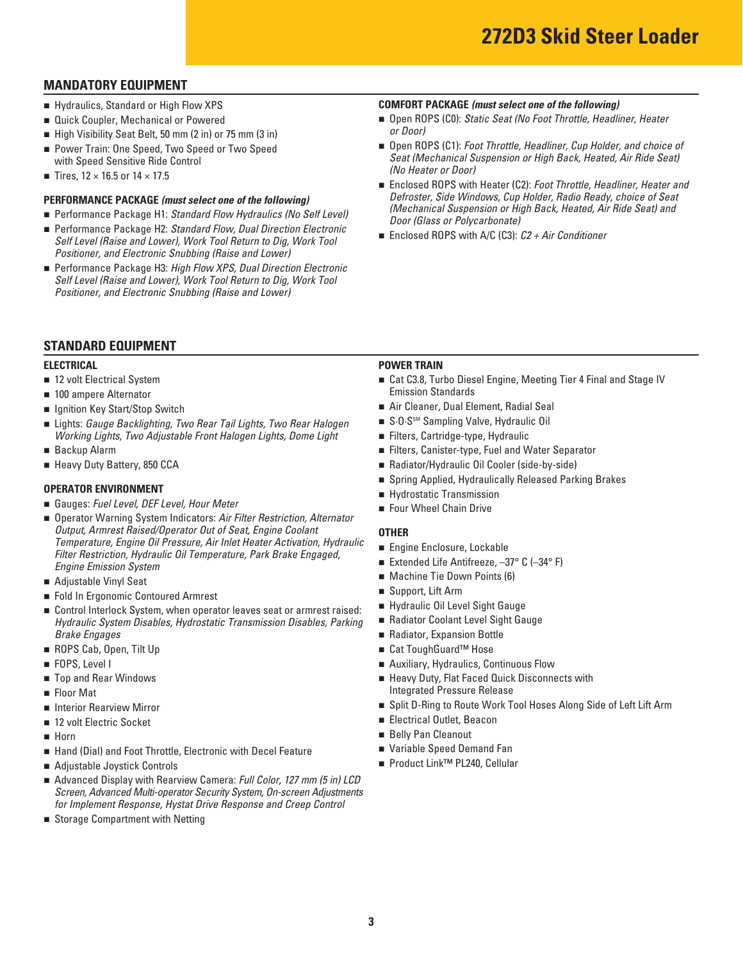## **MANDATORY EQUIPMENT**

- Hydraulics, Standard or High Flow XPS
- **Quick Coupler, Mechanical or Powered**
- High Visibility Seat Belt, 50 mm (2 in) or 75 mm (3 in)
- Power Train: One Speed, Two Speed or Two Speed
- with Speed Sensitive Ride Control
- Tires,  $12 \times 16.5$  or  $14 \times 17.5$

#### **PERFORMANCE PACKAGE** *(must select one of the following)*

- Performance Package H1: Standard Flow Hydraulics (No Self Level)
- Performance Package H2: Standard Flow, Dual Direction Electronic *Self Level (Raise and Lower), Work Tool Return to Dig, Work Tool Positioner, and Electronic Snubbing (Raise and Lower)*
- Performance Package H3: *High Flow XPS, Dual Direction Electronic Self Level (Raise and Lower), Work Tool Return to Dig, Work Tool Positioner, and Electronic Snubbing (Raise and Lower)*

## **STANDARD EQUIPMENT**

- 12 volt Electrical System
- **n** 100 ampere Alternator **Emission Standards**
- **geta** Ignition Key Start/Stop Switch
- Lights: *Gauge Backlighting, Two Rear Tail Lights, Two Rear Halogen* No S·O·S<sup>sM</sup> Sampling Valve, Hydraulic Oil *Working Lights, Two Adjustable Front Halogen Lights, Dome Light*
- **Backup Alarm**
- **E** Heavy Duty Battery, 850 CCA

- **Gauges: Fuel Level, DEF Level, Hour Meter <b>n** Four Wheel Chain Drive
- Operator Warning System Indicators: Air Filter Restriction, Alternator *Output, Armrest Raised/Operator Out of Seat, Engine Coolant* **OTHER**  Filter Restriction, Hydraulic Oil Temperature, Park Brake Engaged,<br>Engine Emission System
- Adjustable Vinyl Seat
- <sup>n</sup> Support, Lift Arm <sup>n</sup> Fold In Ergonomic Contoured Armrest
- Control Interlock System, when operator leaves seat or armrest raised: Hydraulic Oil Level Sight Gauge **Brake Engages n Radiator, Expansion Bottle** *Hydraulic System Disables, Hydrostatic Transmission Disables, Parking*
- ROPS Cab, Open, Tilt Up n Cat ToughGuard™ Hose
- **FOPS**, Level I
- **Top and Rear Windows**
- **Floor Mat**
- **n** Interior Rearview Mirror
- **n** 12 volt Electric Socket **n Electrical Outlet**, Beacon
- **B** Horn
- Hand (Dial) and Foot Throttle, Electronic with Decel Feature **Number 20 Pariable Speed Demand Fan**
- Adjustable Joystick Controls n Product Link<sup>™</sup> PL240, Cellular
- Advanced Display with Rearview Camera: *Full Color, 127 mm (5 in) LCD Screen, Advanced Multi-operator Security System, On-screen Adjustments*  for Implement Response, Hystat Drive Response and Creep Control
- **B** Storage Compartment with Netting

#### **COMFORT PACKAGE** *(must select one of the following)*

- Open ROPS (C0): *Static Seat (No Foot Throttle, Headliner, Heater or Door)*
- Open ROPS (C1): *Foot Throttle, Headliner, Cup Holder, and choice of Seat (Mechanical Suspension or High Back, Heated, Air Ride Seat) (No Heater or Door)*
- Enclosed ROPS with Heater (C2): *Foot Throttle, Headliner, Heater and Defroster, Side Windows, Cup Holder, Radio Ready, choice of Seat (Mechanical Suspension or High Back, Heated, Air Ride Seat) and Door (Glass or Polycarbonate)*
- Enclosed ROPS with A/C (C3): *C2 + Air Conditioner*

#### **ELECTRICAL POWER TRAIN**

- 12 volt Electrical System Cat C3.8, Turbo Diesel Engine, Meeting Tier 4 Final and Stage IV
- **n** Ignition Key Start/Stop Switch **n Air Cleaner, Dual Element, Radial Seal** 
	- S-0-S<sup>SM</sup> Sampling Valve, Hydraulic Oil
	- Filters, Cartridge-type, Hydraulic
- **Example Alarm 19 and Telecom** Canadian Construction Canadian Canadian Canadian Canadian Canadian Canadian Canadian Canadian Canadian Canadian Canadian Canadian Canadian Canadian Canadian Canadian Canadian Canadian Canadia
- **n** Heavy Duty Battery, 850 CCA **n Radiator/Hydraulic Oil Cooler (side-by-side) n** Radiator/Hydraulic Oil Cooler (side-by-side)
- **OPERATOR ENVIRONMENT**<br> **a** Spring Applied, Hydraulically Released Parking Brakes<br> **a** Hydrostatic Transmission
	- **Exercise Hydrostatic Transmission**
	- Four Wheel Chain Drive

- **Engine Enclosure, Lockable**
- Extended Life Antifreeze, -37° C (-34° F)
- **a Adjustable Vinyl Seat 1998 1998 1999 1999 1999 1999 1999 1999 1999 1999 1999 1999 1999 1999 1999 1999 1999 1999 1999 1999 1999 1999 1999 1999 1** 
	- Support, Lift Arm
	- Hydraulic Oil Level Sight Gauge
	- Radiator Coolant Level Sight Gauge
	-
	- Cat ToughGuard<sup>™</sup> Hose
- **EXECUTE:** THE POPS, Level I notice that the second in Auxiliary, Hydraulics, Continuous Flow
- Top and Rear Windows **n Heavy Duty, Flat Faced Quick Disconnects** with Integrated Pressure Release
- Interior Rearview Mirror n Split D-Ring to Route Work Tool Hoses Along Side of Left Lift Arm
	- **Electrical Outlet, Beacon**
- **Example 20 In Property Contract Contract Contract Contract Contract Contract Contract Contract Contract Contract Contract Contract Contract Contract Contract Contract Contract Contract Contract Contract Contract Contract** 
	- Variable Speed Demand Fan
	- Product Link<sup>™</sup> PL240, Cellular